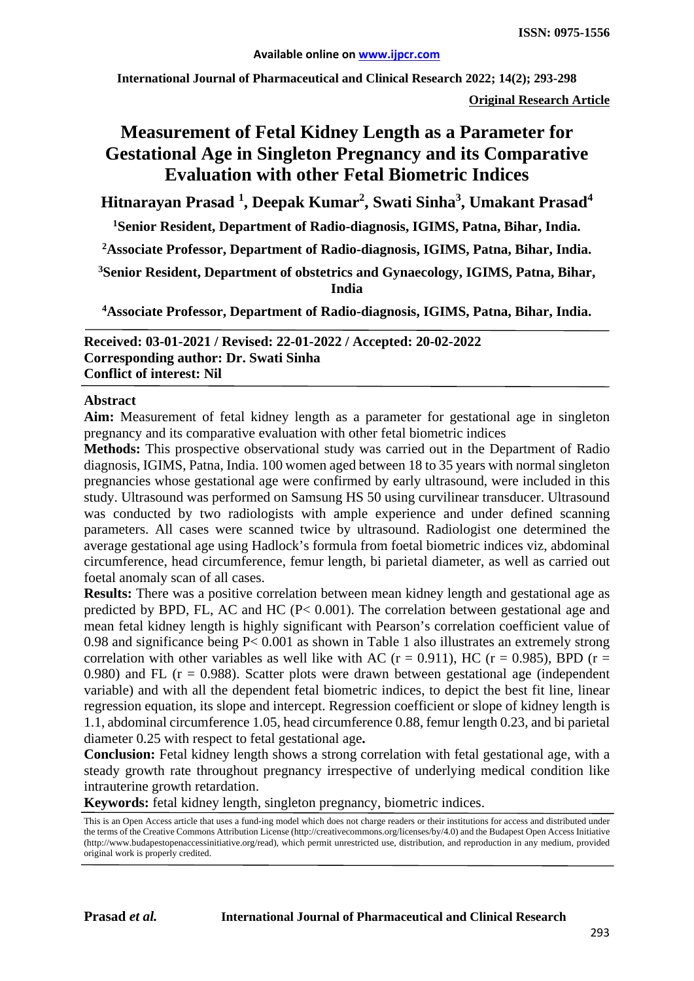**International Journal of Pharmaceutical and Clinical Research 2022; 14(2); 293-298**

**Original Research Article**

# **Measurement of Fetal Kidney Length as a Parameter for Gestational Age in Singleton Pregnancy and its Comparative Evaluation with other Fetal Biometric Indices**

**Hitnarayan Prasad 1 , Deepak Kumar2 , Swati Sinha3 , Umakant Prasad4**

**1 Senior Resident, Department of Radio-diagnosis, IGIMS, Patna, Bihar, India.**

**2 Associate Professor, Department of Radio-diagnosis, IGIMS, Patna, Bihar, India.**

**3Senior Resident, Department of obstetrics and Gynaecology, IGIMS, Patna, Bihar, India**

**4 Associate Professor, Department of Radio-diagnosis, IGIMS, Patna, Bihar, India.**

**Received: 03-01-2021 / Revised: 22-01-2022 / Accepted: 20-02-2022 Corresponding author: Dr. Swati Sinha Conflict of interest: Nil**

#### **Abstract**

**Aim:** Measurement of fetal kidney length as a parameter for gestational age in singleton pregnancy and its comparative evaluation with other fetal biometric indices

**Methods:** This prospective observational study was carried out in the Department of Radio diagnosis, IGIMS, Patna, India. 100 women aged between 18 to 35 years with normal singleton pregnancies whose gestational age were confirmed by early ultrasound, were included in this study. Ultrasound was performed on Samsung HS 50 using curvilinear transducer. Ultrasound was conducted by two radiologists with ample experience and under defined scanning parameters. All cases were scanned twice by ultrasound. Radiologist one determined the average gestational age using Hadlock's formula from foetal biometric indices viz, abdominal circumference, head circumference, femur length, bi parietal diameter, as well as carried out foetal anomaly scan of all cases.

**Results:** There was a positive correlation between mean kidney length and gestational age as predicted by BPD, FL, AC and HC (P< 0.001). The correlation between gestational age and mean fetal kidney length is highly significant with Pearson's correlation coefficient value of 0.98 and significance being P< 0.001 as shown in Table 1 also illustrates an extremely strong correlation with other variables as well like with AC ( $r = 0.911$ ), HC ( $r = 0.985$ ), BPD ( $r =$ 0.980) and FL ( $r = 0.988$ ). Scatter plots were drawn between gestational age (independent variable) and with all the dependent fetal biometric indices, to depict the best fit line, linear regression equation, its slope and intercept. Regression coefficient or slope of kidney length is 1.1, abdominal circumference 1.05, head circumference 0.88, femur length 0.23, and bi parietal diameter 0.25 with respect to fetal gestational age**.**

**Conclusion:** Fetal kidney length shows a strong correlation with fetal gestational age, with a steady growth rate throughout pregnancy irrespective of underlying medical condition like intrauterine growth retardation.

**Keywords:** fetal kidney length, singleton pregnancy, biometric indices.

This is an Open Access article that uses a fund-ing model which does not charge readers or their institutions for access and distributed under the terms of the Creative Commons Attribution License (http://creativecommons.org/licenses/by/4.0) and the Budapest Open Access Initiative (http://www.budapestopenaccessinitiative.org/read), which permit unrestricted use, distribution, and reproduction in any medium, provided original work is properly credited.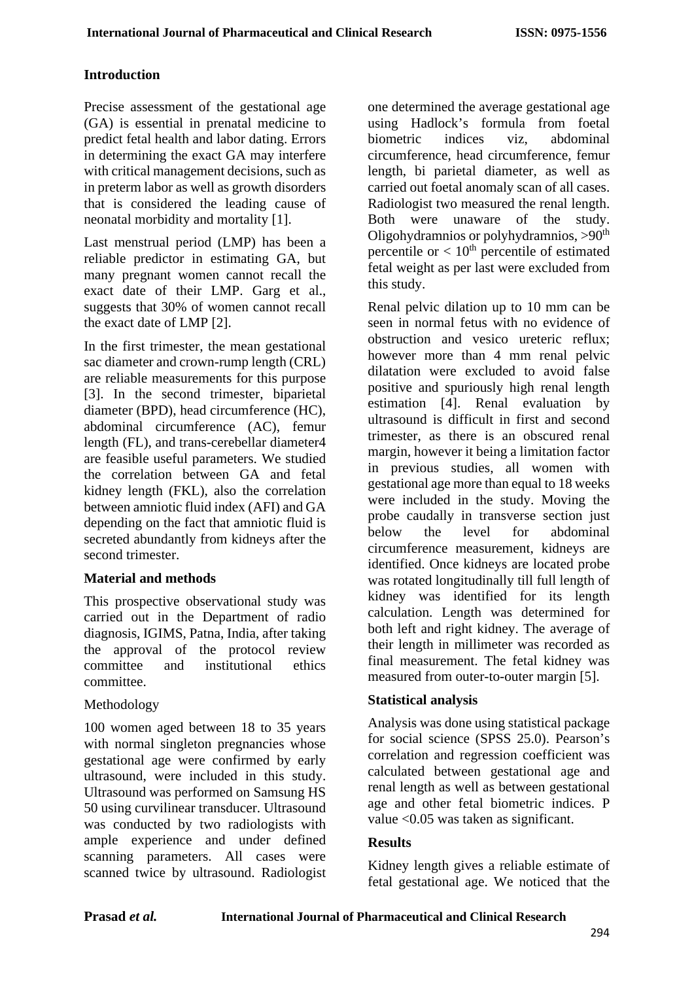### **Introduction**

Precise assessment of the gestational age (GA) is essential in prenatal medicine to predict fetal health and labor dating. Errors in determining the exact GA may interfere with critical management decisions, such as in preterm labor as well as growth disorders that is considered the leading cause of neonatal morbidity and mortality [1].

Last menstrual period (LMP) has been a reliable predictor in estimating GA, but many pregnant women cannot recall the exact date of their LMP. Garg et al., suggests that 30% of women cannot recall the exact date of LMP [2].

In the first trimester, the mean gestational sac diameter and crown-rump length (CRL) are reliable measurements for this purpose [3]. In the second trimester, biparietal diameter (BPD), head circumference (HC), abdominal circumference (AC), femur length (FL), and trans-cerebellar diameter4 are feasible useful parameters. We studied the correlation between GA and fetal kidney length (FKL), also the correlation between amniotic fluid index (AFI) and GA depending on the fact that amniotic fluid is secreted abundantly from kidneys after the second trimester.

#### **Material and methods**

This prospective observational study was carried out in the Department of radio diagnosis, IGIMS, Patna, India, after taking the approval of the protocol review committee and institutional ethics committee.

### Methodology

100 women aged between 18 to 35 years with normal singleton pregnancies whose gestational age were confirmed by early ultrasound, were included in this study. Ultrasound was performed on Samsung HS 50 using curvilinear transducer. Ultrasound was conducted by two radiologists with ample experience and under defined scanning parameters. All cases were scanned twice by ultrasound. Radiologist

one determined the average gestational age using Hadlock's formula from foetal biometric indices viz, abdominal circumference, head circumference, femur length, bi parietal diameter, as well as carried out foetal anomaly scan of all cases. Radiologist two measured the renal length. Both were unaware of the study. Oligohydramnios or polyhydramnios, >90th percentile or  $< 10<sup>th</sup>$  percentile of estimated fetal weight as per last were excluded from this study.

Renal pelvic dilation up to 10 mm can be seen in normal fetus with no evidence of obstruction and vesico ureteric reflux; however more than 4 mm renal pelvic dilatation were excluded to avoid false positive and spuriously high renal length estimation [4]. Renal evaluation by ultrasound is difficult in first and second trimester, as there is an obscured renal margin, however it being a limitation factor in previous studies, all women with gestational age more than equal to 18 weeks were included in the study. Moving the probe caudally in transverse section just below the level for abdominal circumference measurement, kidneys are identified. Once kidneys are located probe was rotated longitudinally till full length of kidney was identified for its length calculation. Length was determined for both left and right kidney. The average of their length in millimeter was recorded as final measurement. The fetal kidney was measured from outer-to-outer margin [5].

### **Statistical analysis**

Analysis was done using statistical package for social science (SPSS 25.0). Pearson's correlation and regression coefficient was calculated between gestational age and renal length as well as between gestational age and other fetal biometric indices. P value <0.05 was taken as significant.

### **Results**

Kidney length gives a reliable estimate of fetal gestational age. We noticed that the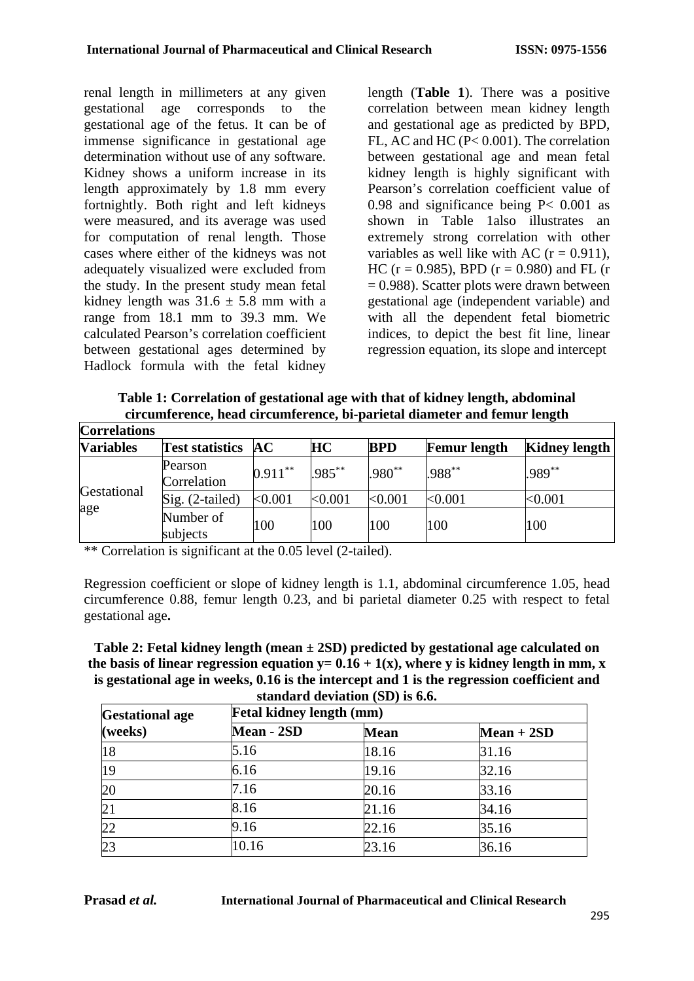renal length in millimeters at any given gestational age corresponds to the gestational age of the fetus. It can be of immense significance in gestational age determination without use of any software. Kidney shows a uniform increase in its length approximately by 1.8 mm every fortnightly. Both right and left kidneys were measured, and its average was used for computation of renal length. Those cases where either of the kidneys was not adequately visualized were excluded from the study. In the present study mean fetal kidney length was  $31.6 \pm 5.8$  mm with a range from 18.1 mm to 39.3 mm. We calculated Pearson's correlation coefficient between gestational ages determined by Hadlock formula with the fetal kidney

length (**Table 1**). There was a positive correlation between mean kidney length and gestational age as predicted by BPD, FL, AC and HC (P< 0.001). The correlation between gestational age and mean fetal kidney length is highly significant with Pearson's correlation coefficient value of 0.98 and significance being P< 0.001 as shown in Table 1also illustrates an extremely strong correlation with other variables as well like with AC  $(r = 0.911)$ , HC ( $r = 0.985$ ), BPD ( $r = 0.980$ ) and FL ( $r = 0.985$ )  $= 0.988$ ). Scatter plots were drawn between gestational age (independent variable) and with all the dependent fetal biometric indices, to depict the best fit line, linear regression equation, its slope and intercept

**Table 1: Correlation of gestational age with that of kidney length, abdominal circumference, head circumference, bi-parietal diameter and femur length**

| <b>Correlations</b> |                           |            |           |             |                     |                      |
|---------------------|---------------------------|------------|-----------|-------------|---------------------|----------------------|
| <b>Variables</b>    | <b>Test statistics AC</b> |            | HС        | <b>BPD</b>  | <b>Femur length</b> | <b>Kidney length</b> |
| Gestational<br>age  | Pearson<br>Correlation    | $0.911***$ | $.985***$ | $.980^{**}$ | $.988^{**}$         | .989**               |
|                     | Sig. (2-tailed)           | < 0.001    | < 0.001   | < 0.001     | < 0.001             | $<$ 0.001 $\,$       |
|                     | Number of<br>subjects     | 100        | 100       | 100         | 100                 | 100                  |

\*\* Correlation is significant at the 0.05 level (2-tailed).

Regression coefficient or slope of kidney length is 1.1, abdominal circumference 1.05, head circumference 0.88, femur length 0.23, and bi parietal diameter 0.25 with respect to fetal gestational age**.**

**Table 2: Fetal kidney length (mean ± 2SD) predicted by gestational age calculated on**  the basis of linear regression equation  $y= 0.16 + 1(x)$ , where y is kidney length in mm, x **is gestational age in weeks, 0.16 is the intercept and 1 is the regression coefficient and standard deviation (SD) is 6.6.**

| <b>Gestational age</b> | <b>Fetal kidney length (mm)</b> |             |              |  |  |  |
|------------------------|---------------------------------|-------------|--------------|--|--|--|
| ( weeks)               | Mean - 2SD                      | <b>Mean</b> | $Mean + 2SD$ |  |  |  |
| 18                     | 5.16                            | 18.16       | 31.16        |  |  |  |
| 19                     | 6.16                            | 19.16       | 32.16        |  |  |  |
| 20                     | 7.16                            | 20.16       | 33.16        |  |  |  |
| 21                     | 8.16                            | 21.16       | 34.16        |  |  |  |
| 22                     | 9.16                            | 22.16       | 35.16        |  |  |  |
| 23                     | 10.16                           | 23.16       | 36.16        |  |  |  |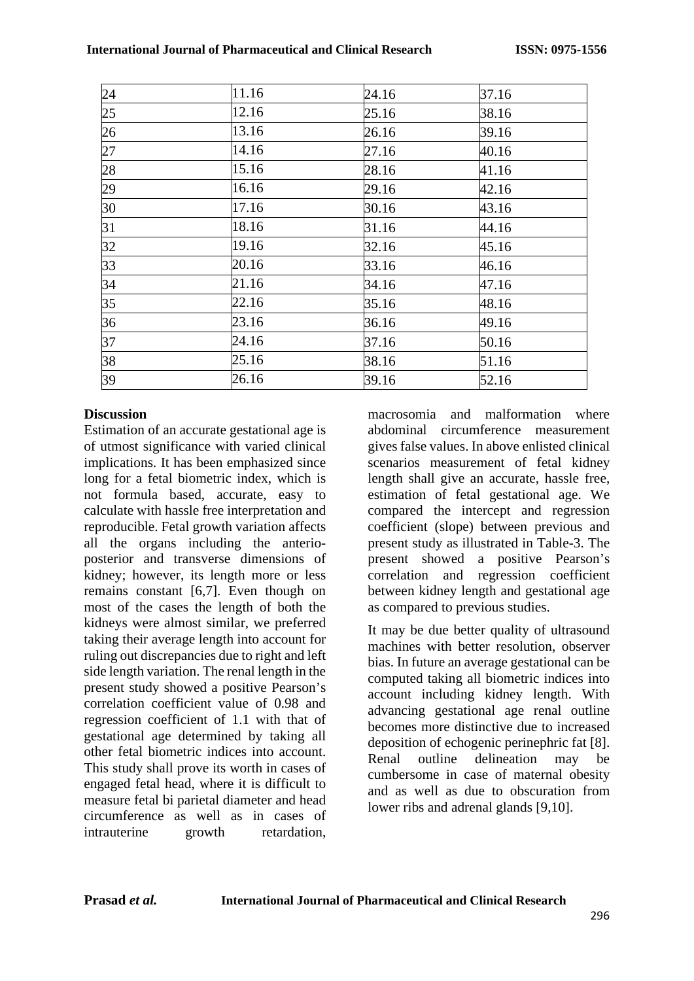|                 | 11.16 | 24.16 | 37.16 |
|-----------------|-------|-------|-------|
| $\frac{24}{25}$ | 12.16 | 25.16 | 38.16 |
| 26              | 13.16 | 26.16 | 39.16 |
| $\overline{27}$ | 14.16 | 27.16 | 40.16 |
| 28              | 15.16 | 28.16 | 41.16 |
| 29              | 16.16 | 29.16 | 42.16 |
| 30              | 17.16 | 30.16 | 43.16 |
| 31              | 18.16 | 31.16 | 44.16 |
| 32              | 19.16 | 32.16 | 45.16 |
| 33              | 20.16 | 33.16 | 46.16 |
| 34              | 21.16 | 34.16 | 47.16 |
| 35              | 22.16 | 35.16 | 48.16 |
| 36              | 23.16 | 36.16 | 49.16 |
| 37              | 24.16 | 37.16 | 50.16 |
| 38              | 25.16 | 38.16 | 51.16 |
| 39              | 26.16 | 39.16 | 52.16 |

### **Discussion**

Estimation of an accurate gestational age is of utmost significance with varied clinical implications. It has been emphasized since long for a fetal biometric index, which is not formula based, accurate, easy to calculate with hassle free interpretation and reproducible. Fetal growth variation affects all the organs including the anterioposterior and transverse dimensions of kidney; however, its length more or less remains constant [6,7]. Even though on most of the cases the length of both the kidneys were almost similar, we preferred taking their average length into account for ruling out discrepancies due to right and left side length variation. The renal length in the present study showed a positive Pearson's correlation coefficient value of 0.98 and regression coefficient of 1.1 with that of gestational age determined by taking all other fetal biometric indices into account. This study shall prove its worth in cases of engaged fetal head, where it is difficult to measure fetal bi parietal diameter and head circumference as well as in cases of intrauterine growth retardation,

macrosomia and malformation where abdominal circumference measurement gives false values. In above enlisted clinical scenarios measurement of fetal kidney length shall give an accurate, hassle free, estimation of fetal gestational age. We compared the intercept and regression coefficient (slope) between previous and present study as illustrated in Table-3. The present showed a positive Pearson's correlation and regression coefficient between kidney length and gestational age as compared to previous studies.

It may be due better quality of ultrasound machines with better resolution, observer bias. In future an average gestational can be computed taking all biometric indices into account including kidney length. With advancing gestational age renal outline becomes more distinctive due to increased deposition of echogenic perinephric fat [8]. Renal outline delineation may be cumbersome in case of maternal obesity and as well as due to obscuration from lower ribs and adrenal glands [9,10].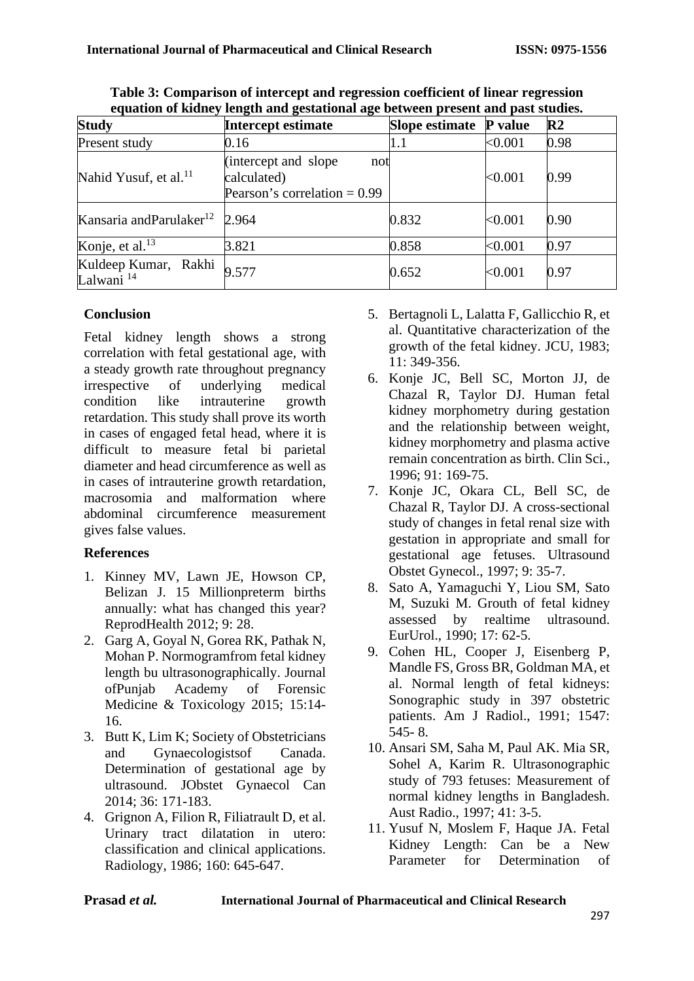| <b>Study</b>                                  | Intercept estimate                                                            | <b>Slope estimate</b> | <b>P</b> value | $\mathbb{R}^2$ |
|-----------------------------------------------|-------------------------------------------------------------------------------|-----------------------|----------------|----------------|
| Present study                                 | 0.16                                                                          | 1.1                   | < 0.001        | 0.98           |
| Nahid Yusuf, et al. <sup>11</sup>             | (intercept and slope)<br>not<br>calculated)<br>Pearson's correlation $= 0.99$ |                       | < 0.001        | 0.99           |
| Kansaria and Parulaker <sup>12</sup> 2.964    |                                                                               | 0.832                 | < 0.001        | 0.90           |
| Konje, et al. $^{13}$                         | 3.821                                                                         | 0.858                 | < 0.001        | 0.97           |
| Kuldeep Kumar, Rakhi<br>Lalwani <sup>14</sup> | 9.577                                                                         | 0.652                 | < 0.001        | 0.97           |

**Table 3: Comparison of intercept and regression coefficient of linear regression equation of kidney length and gestational age between present and past studies.**

## **Conclusion**

Fetal kidney length shows a strong correlation with fetal gestational age, with a steady growth rate throughout pregnancy irrespective of underlying medical condition like intrauterine growth retardation. This study shall prove its worth in cases of engaged fetal head, where it is difficult to measure fetal bi parietal diameter and head circumference as well as in cases of intrauterine growth retardation, macrosomia and malformation where abdominal circumference measurement gives false values.

### **References**

- 1. Kinney MV, Lawn JE, Howson CP, Belizan J. 15 Millio[npreterm births](http://www.ncbi.nlm.nih.gov/pmc/articles/PMC3546852/)  [annually: what has changed this year?](http://www.ncbi.nlm.nih.gov/pmc/articles/PMC3546852/)  [ReprodHealth 2012; 9: 28.](http://www.ncbi.nlm.nih.gov/pmc/articles/PMC3546852/)
- 2. [Garg A, Goyal N, Gorea RK, Pathak N,](https://www.researchgate.net/publication/282951167_Normogram_from_fetal_kidney_length_by_ultrasonographically)  [Mohan P. Normogramfrom fetal kidney](https://www.researchgate.net/publication/282951167_Normogram_from_fetal_kidney_length_by_ultrasonographically)  [length bu ultrasonographically. Journal](https://www.researchgate.net/publication/282951167_Normogram_from_fetal_kidney_length_by_ultrasonographically)  [ofPunjab Academy of Forensic](https://www.researchgate.net/publication/282951167_Normogram_from_fetal_kidney_length_by_ultrasonographically)  [Medicine & Toxicology 2015; 15:14-](https://www.researchgate.net/publication/282951167_Normogram_from_fetal_kidney_length_by_ultrasonographically) [16.](https://www.researchgate.net/publication/282951167_Normogram_from_fetal_kidney_length_by_ultrasonographically)
- 3. [Butt K, Lim K; Society of Obstetricians](http://www.ncbi.nlm.nih.gov/pubmed/24518917)  [and Gynaecologistsof Canada.](http://www.ncbi.nlm.nih.gov/pubmed/24518917)  [Determination of gestational age by](http://www.ncbi.nlm.nih.gov/pubmed/24518917)  [ultrasound. JObstet Gynaecol Can](http://www.ncbi.nlm.nih.gov/pubmed/24518917)  [2014; 36: 171-183.](http://www.ncbi.nlm.nih.gov/pubmed/24518917)
- 4. Grignon A, Filion R, Filiatrault D, et al. Urinary tract dilatation in utero: classification and clinical applications. Radiology, 1986; 160: 645-647.
- 5. Bertagnoli L, Lalatta F, Gallicchio R, et al. Quantitative characterization of the growth of the fetal kidney. JCU, 1983; 11: 349-356.
- 6. Konje JC, Bell SC, Morton JJ, de Chazal R, Taylor DJ. Human fetal kidney morphometry during gestation and the relationship between weight, kidney morphometry and plasma active remain concentration as birth. Clin Sci., 1996; 91: 169-75.
- 7. Konje JC, Okara CL, Bell SC, de Chazal R, Taylor DJ. A cross-sectional study of changes in fetal renal size with gestation in appropriate and small for gestational age fetuses. Ultrasound Obstet Gynecol., 1997; 9: 35-7.
- 8. Sato A, Yamaguchi Y, Liou SM, Sato M, Suzuki M. Grouth of fetal kidney assessed by realtime ultrasound. EurUrol., 1990; 17: 62-5.
- 9. Cohen HL, Cooper J, Eisenberg P, Mandle FS, Gross BR, Goldman MA, et al. Normal length of fetal kidneys: Sonographic study in 397 obstetric patients. Am J Radiol., 1991; 1547: 545- 8.
- 10. Ansari SM, Saha M, Paul AK. Mia SR, Sohel A, Karim R. Ultrasonographic study of 793 fetuses: Measurement of normal kidney lengths in Bangladesh. Aust Radio., 1997; 41: 3-5.
- 11. Yusuf N, Moslem F, Haque JA. Fetal Kidney Length: Can be a New Parameter for Determination of